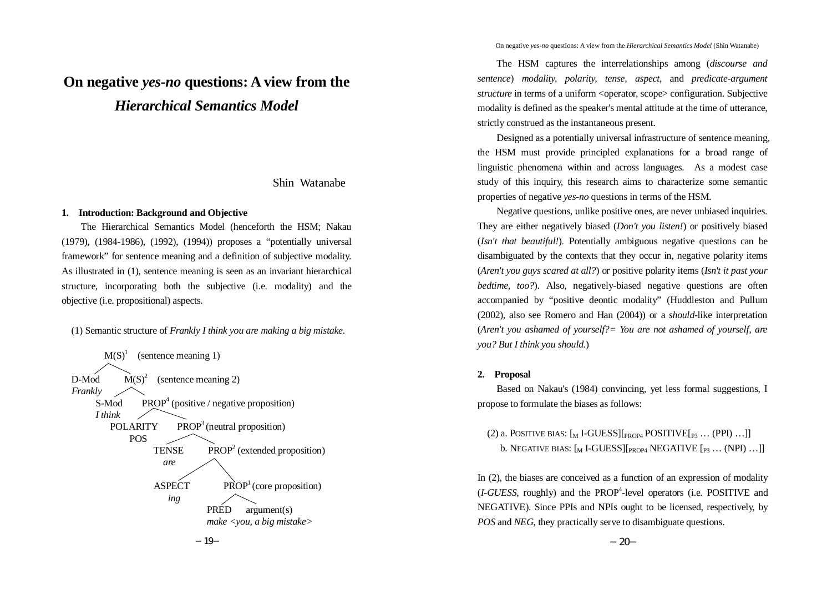# **On negative** *yes-no* **questions: A view from the** *Hierarchical Semantics Model*

# Shin Watanabe

#### **1. Introduction: Background and Objective**

The Hierarchical Semantics Model (henceforth the HSM; Nakau (1979), (1984-1986), (1992), (1994)) proposes a "potentially universal framework" for sentence meaning and a definition of subjective modality. As illustrated in (1), sentence meaning is seen as an invariant hierarchical structure, incorporating both the subjective (i.e. modality) and the objective (i.e. propositional) aspects.

(1) Semantic structure of *Frankly I think you are making a big mistake*.



On negative *yes-no* questions: A view from the *Hierarchical Semantics Model* (Shin Watanabe)

The HSM captures the interrelationships among (*discourse and sentence*) *modality, polarity, tense, aspect*, and *predicate-argument structure* in terms of a uniform <operator, scope> configuration. Subjective modality is defined as the speaker's mental attitude at the time of utterance, strictly construed as the instantaneous present.

Designed as a potentially universal infrastructure of sentence meaning, the HSM must provide principled explanations for a broad range of linguistic phenomena within and across languages. As a modest case study of this inquiry, this research aims to characterize some semantic properties of negative *yes-no* questions in terms of the HSM.

Negative questions, unlike positive ones, are never unbiased inquiries. They are either negatively biased (*Don't you listen!*) or positively biased (*Isn't that beautiful!*). Potentially ambiguous negative questions can be disambiguated by the contexts that they occur in, negative polarity items (*Aren't you guys scared at all?*) or positive polarity items (*Isn't it past your bedtime, too?*). Also, negatively-biased negative questions are often accompanied by "positive deontic modality" (Huddleston and Pullum (2002), also see Romero and Han (2004)) or a *should*-like interpretation (*Aren't you ashamed of yourself?= You are not ashamed of yourself, are you? But I think you should.*)

#### **2. Proposal**

Based on Nakau's (1984) convincing, yet less formal suggestions, I propose to formulate the biases as follows:

(2) a. POSITIVE BIAS:  $\lceil_{M}$  I-GUESS $\lceil_{\text{PROP4}}$  POSITIVE $\lceil_{\text{P3}}$  ... (PPI) ...]] b. NEGATIVE BIAS:  $\left[\begin{smallmatrix} M & I-\text{GUESS} \end{smallmatrix}\right]_{\text{PROP4}}$  NEGATIVE  $\left[\begin{smallmatrix} p_3 & \dots & (NPI) & \dots & I \end{smallmatrix}\right]$ 

In (2), the biases are conceived as a function of an expression of modality (*I-GUESS*, roughly) and the PROP4 -level operators (i.e. POSITIVE and NEGATIVE). Since PPIs and NPIs ought to be licensed, respectively, by *POS* and *NEG*, they practically serve to disambiguate questions.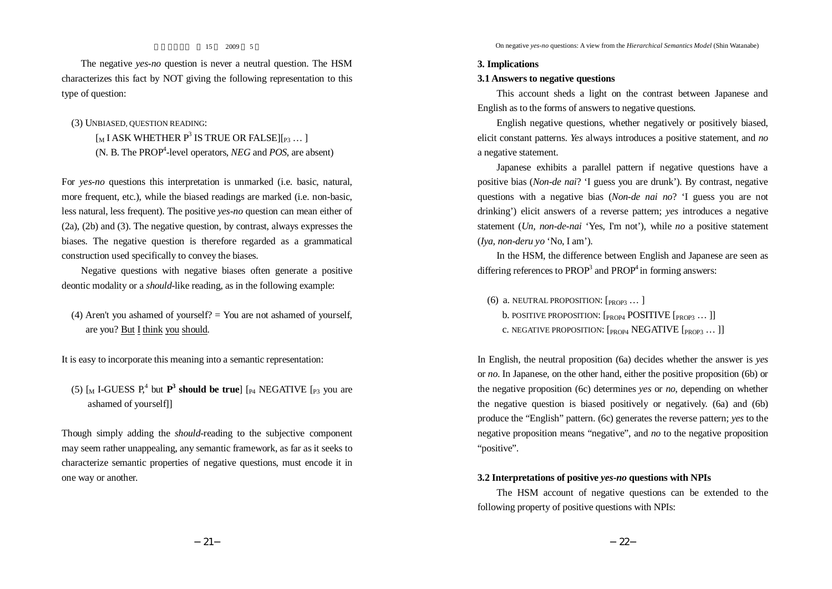(3) UNBIASED, QUESTION READING:

type of question:

15 2009 5

The negative *yes-no* question is never a neutral question. The HSM characterizes this fact by NOT giving the following representation to this

> $\lceil_{\mathcal{M}}$  I ASK WHETHER  $P^3$  IS TRUE OR FALSE $\lceil_{P^3} \dots \rceil$ (N. B. The PROP4 -level operators, *NEG* and *POS*, are absent)

For *yes-no* questions this interpretation is unmarked (i.e. basic, natural, more frequent, etc.), while the biased readings are marked (i.e. non-basic, less natural, less frequent). The positive *yes-no* question can mean either of (2a), (2b) and (3). The negative question, by contrast, always expresses the biases. The negative question is therefore regarded as a grammatical construction used specifically to convey the biases.

Negative questions with negative biases often generate a positive deontic modality or a *should*-like reading, as in the following example:

(4) Aren't you ashamed of yourself?  $=$  You are not ashamed of yourself. are you? But I think you should.

It is easy to incorporate this meaning into a semantic representation:

(5)  $\lbrack M \rbrack$  I-GUESS  $P_1^4$  but  $P_3^3$  **should be true**]  $\lbrack P_4 \rbrack$  NEGATIVE  $\lbrack P_3 \rbrack$  you are ashamed of yourself]]

Though simply adding the *should*-reading to the subjective component may seem rather unappealing, any semantic framework, as far as it seeks to characterize semantic properties of negative questions, must encode it in one way or another.

#### **3. Implications**

## **3.1 Answers to negative questions**

This account sheds a light on the contrast between Japanese and English as to the forms of answers to negative questions.

English negative questions, whether negatively or positively biased, elicit constant patterns. *Yes* always introduces a positive statement, and *no* a negative statement.

Japanese exhibits a parallel pattern if negative questions have a positive bias (*Non-de nai*? 'I guess you are drunk'). By contrast, negative questions with a negative bias (*Non-de nai no*? 'I guess you are not drinking') elicit answers of a reverse pattern; *yes* introduces a negative statement (*Un, non-de-nai* 'Yes, I'm not'), while *no* a positive statement (*Iya, non-deru yo* 'No, I am').

In the HSM, the difference between English and Japanese are seen as differing references to  $PROP<sup>3</sup>$  and  $PROP<sup>4</sup>$  in forming answers:

(6) a. NEUTRAL PROPOSITION:  $[p_{ROP3} \dots]$ 

b. POSITIVE PROPOSITION: [PROP4 POSITIVE [PROP3 ... ]]

c. NEGATIVE PROPOSITION:  $[<sub>PROP4</sub> NEGATIVE [<sub>PROP3</sub> ... ]]$ 

In English, the neutral proposition (6a) decides whether the answer is *yes* or *no*. In Japanese, on the other hand, either the positive proposition (6b) or the negative proposition (6c) determines *yes* or *no*, depending on whether the negative question is biased positively or negatively. (6a) and (6b) produce the "English" pattern. (6c) generates the reverse pattern; *yes* to the negative proposition means "negative", and *no* to the negative proposition "*positive*".

#### **3.2 Interpretations of positive** *yes-no* **questions with NPIs**

The HSM account of negative questions can be extended to the following property of positive questions with NPIs: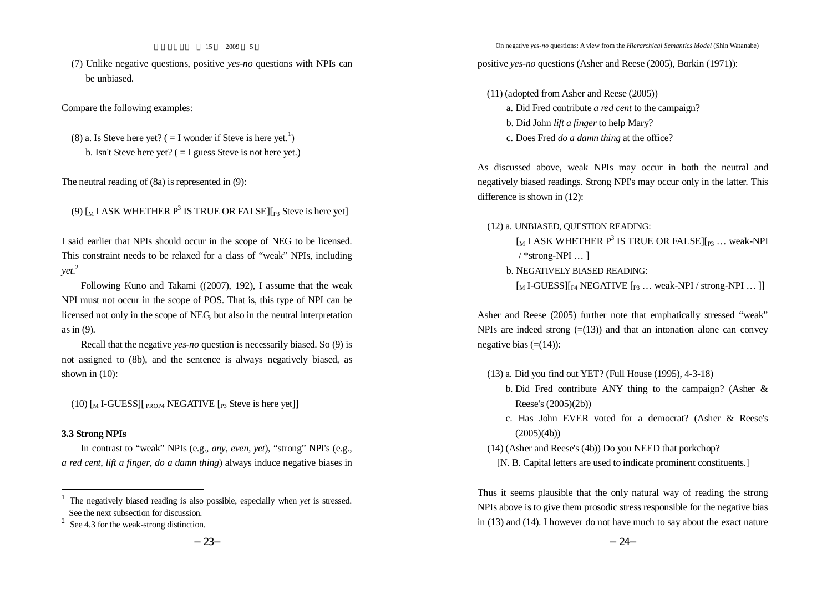(7) Unlike negative questions, positive *yes-no* questions with NPIs can be unbiased.

Compare the following examples:

(8) a. Is Steve here yet?  $( = I$  wonder if Steve is here yet.<sup>1</sup>) b. Isn't Steve here yet?  $( = I$  guess Steve is not here yet.)

The neutral reading of (8a) is represented in (9):

```
(9) \lceil_{\text{M}} I ASK WHETHER P<sup>3</sup> IS TRUE OR FALSE\lceil_{\text{P3}} Steve is here yet]
```
I said earlier that NPIs should occur in the scope of NEG to be licensed. This constraint needs to be relaxed for a class of "weak" NPIs, including *yet*. 2

Following Kuno and Takami ((2007), 192), I assume that the weak NPI must not occur in the scope of POS. That is, this type of NPI can be licensed not only in the scope of NEG, but also in the neutral interpretation as in (9).

Recall that the negative *yes-no* question is necessarily biased. So (9) is not assigned to (8b), and the sentence is always negatively biased, as shown in (10):

 $(10)$  [<sub>M</sub> I-GUESS][  $_{PROP4}$  NEGATIVE [ $_{P3}$  Steve is here yet]]

### **3.3 Strong NPIs**

In contrast to "weak" NPIs (e.g., *any*, *even*, *yet*), "strong" NPI's (e.g., *a red cent*, *lift a finger*, *do a damn thing*) always induce negative biases in On negative *yes-no* questions: A view from the *Hierarchical Semantics Model* (Shin Watanabe)

positive *yes-no* questions (Asher and Reese (2005), Borkin (1971)):

(11) (adopted from Asher and Reese (2005)) a. Did Fred contribute *a red cent* to the campaign? b. Did John *lift a finger* to help Mary? c. Does Fred *do a damn thing* at the office?

As discussed above, weak NPIs may occur in both the neutral and negatively biased readings. Strong NPI's may occur only in the latter. This difference is shown in (12):

(12) a. UNBIASED, QUESTION READING:

 $\lceil_{M} I \text{ ASK WHERE } P^{3} \text{ IS TRUE OR FALSE} \rceil_{P3} \dots$  weak-NPI  $/$  \*strong-NPI ... ]

b. NEGATIVELY BIASED READING:

 $\left[\begin{smallmatrix}M & I-\text{GUESS} \end{smallmatrix}\right][_{P4}$  NEGATIVE  $\left[\begin{smallmatrix}P3 & \cdots & W\end{smallmatrix}\right]$  weak-NPI / strong-NPI  $\cdots$  ]]

Asher and Reese (2005) further note that emphatically stressed "weak" NPIs are indeed strong  $(=(13))$  and that an intonation alone can convey negative bias  $(=(14))$ :

- (13) a. Did you find out YET? (Full House (1995), 4-3-18)
	- b. Did Fred contribute ANY thing to the campaign? (Asher & Reese's (2005)(2b))
	- c. Has John EVER voted for a democrat? (Asher & Reese's  $(2005)(4b)$
- (14) (Asher and Reese's (4b)) Do you NEED that porkchop?

Thus it seems plausible that the only natural way of reading the strong NPIs above is to give them prosodic stress responsible for the negative bias in (13) and (14). I however do not have much to say about the exact nature

<sup>1</sup> The negatively biased reading is also possible, especially when *yet* is stressed. See the next subsection for discussion.

See 4.3 for the weak-strong distinction.

<sup>[</sup>N. B. Capital letters are used to indicate prominent constituents.]